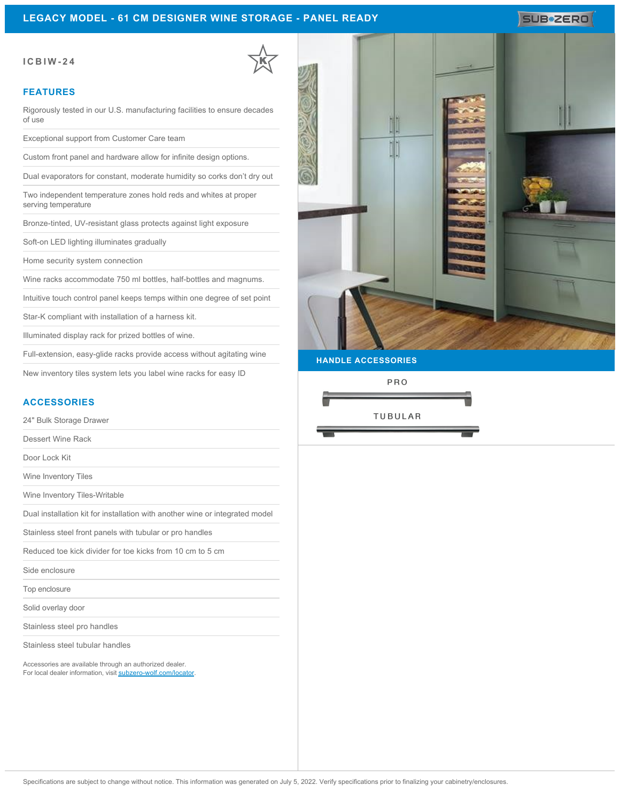### **LEGACY MODEL - 61 CM DESIGNER WINE STORAGE - PANEL READY**

## SUB<sup>\*</sup>ZERO

### **ICBIW-24**

#### **FEATURES**

Rigorously tested in our U.S. manufacturing facilities to ensure decades of use

Exceptional support from Customer Care team

Custom front panel and hardware allow for infinite design options.

Dual evaporators for constant, moderate humidity so corks don't dry out

Two independent temperature zones hold reds and whites at proper serving temperature

Bronze-tinted, UV-resistant glass protects against light exposure

Soft-on LED lighting illuminates gradually

Home security system connection

Wine racks accommodate 750 ml bottles, half-bottles and magnums.

Intuitive touch control panel keeps temps within one degree of set point

Star-K compliant with installation of a harness kit.

Illuminated display rack for prized bottles of wine.

Full-extension, easy-glide racks provide access without agitating wine

New inventory tiles system lets you label wine racks for easy ID

### **ACCESSORIES**

24" Bulk Storage Drawer

Dessert Wine Rack

Door Lock Kit

Wine Inventory Tiles

Wine Inventory Tiles-Writable

Dual installation kit for installation with another wine or integrated model

Stainless steel front panels with tubular or pro handles

Reduced toe kick divider for toe kicks from 10 cm to 5 cm

Side enclosure

Top enclosure

Solid overlay door

Stainless steel pro handles

Stainless steel tubular handles

Accessories are available through an authorized dealer. For local dealer information, visit [subzero-wolf.com/locator.](http://www.subzero-wolf.com/locator)



**HANDLE ACCESSORIES**

PRO